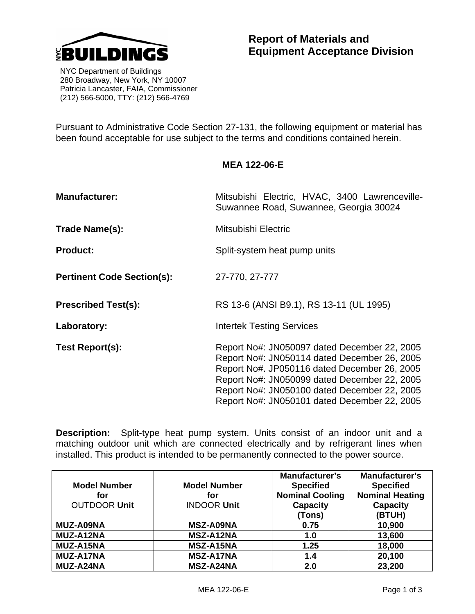

 NYC Department of Buildings 280 Broadway, New York, NY 10007 Patricia Lancaster, FAIA, Commissioner (212) 566-5000, TTY: (212) 566-4769

Pursuant to Administrative Code Section 27-131, the following equipment or material has been found acceptable for use subject to the terms and conditions contained herein.

## **MEA 122-06-E**

| <b>Manufacturer:</b>              | Mitsubishi Electric, HVAC, 3400 Lawrenceville-<br>Suwannee Road, Suwannee, Georgia 30024                                                                                                                                                                                                     |  |  |
|-----------------------------------|----------------------------------------------------------------------------------------------------------------------------------------------------------------------------------------------------------------------------------------------------------------------------------------------|--|--|
| Trade Name(s):                    | Mitsubishi Electric                                                                                                                                                                                                                                                                          |  |  |
| <b>Product:</b>                   | Split-system heat pump units                                                                                                                                                                                                                                                                 |  |  |
| <b>Pertinent Code Section(s):</b> | 27-770, 27-777                                                                                                                                                                                                                                                                               |  |  |
| <b>Prescribed Test(s):</b>        | RS 13-6 (ANSI B9.1), RS 13-11 (UL 1995)                                                                                                                                                                                                                                                      |  |  |
| Laboratory:                       | <b>Intertek Testing Services</b>                                                                                                                                                                                                                                                             |  |  |
| Test Report(s):                   | Report No#: JN050097 dated December 22, 2005<br>Report No#: JN050114 dated December 26, 2005<br>Report No#. JP050116 dated December 26, 2005<br>Report No#: JN050099 dated December 22, 2005<br>Report No#: JN050100 dated December 22, 2005<br>Report No#: JN050101 dated December 22, 2005 |  |  |

**Description:** Split-type heat pump system. Units consist of an indoor unit and a matching outdoor unit which are connected electrically and by refrigerant lines when installed. This product is intended to be permanently connected to the power source.

| <b>Model Number</b><br>for<br><b>OUTDOOR Unit</b> | <b>Model Number</b><br>for<br><b>INDOOR Unit</b> | <b>Manufacturer's</b><br><b>Specified</b><br><b>Nominal Cooling</b><br><b>Capacity</b> | Manufacturer's<br><b>Specified</b><br><b>Nominal Heating</b><br><b>Capacity</b> |
|---------------------------------------------------|--------------------------------------------------|----------------------------------------------------------------------------------------|---------------------------------------------------------------------------------|
|                                                   |                                                  | (Tons)                                                                                 | (BTUH)                                                                          |
| <b>MUZ-A09NA</b>                                  | <b>MSZ-A09NA</b>                                 | 0.75                                                                                   | 10,900                                                                          |
| MUZ-A12NA                                         | MSZ-A12NA                                        | 1.0                                                                                    | 13,600                                                                          |
| MUZ-A15NA                                         | MSZ-A15NA                                        | 1.25                                                                                   | 18,000                                                                          |
| MUZ-A17NA                                         | <b>MSZ-A17NA</b>                                 | 1.4                                                                                    | 20,100                                                                          |
| <b>MUZ-A24NA</b>                                  | <b>MSZ-A24NA</b>                                 | 2.0                                                                                    | 23,200                                                                          |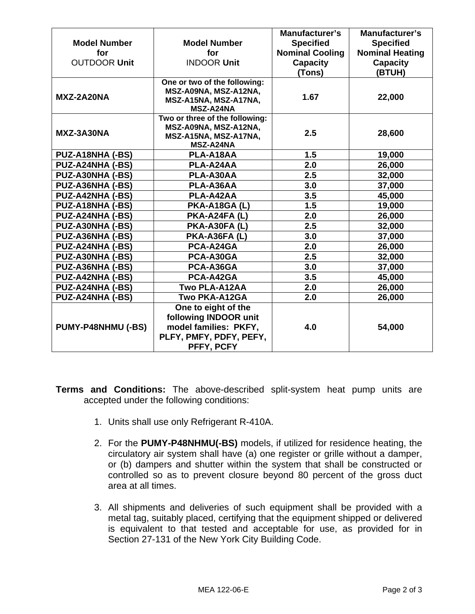|                     |                                    | Manufacturer's         | <b>Manufacturer's</b>  |
|---------------------|------------------------------------|------------------------|------------------------|
| <b>Model Number</b> | <b>Model Number</b>                | <b>Specified</b>       | <b>Specified</b>       |
| for                 | for                                | <b>Nominal Cooling</b> | <b>Nominal Heating</b> |
| <b>OUTDOOR Unit</b> | <b>INDOOR Unit</b>                 | <b>Capacity</b>        | <b>Capacity</b>        |
|                     |                                    | (Tons)                 | (BTUH)                 |
|                     | One or two of the following:       |                        |                        |
| MXZ-2A20NA          | MSZ-A09NA, MSZ-A12NA,              | 1.67                   | 22,000                 |
|                     | MSZ-A15NA, MSZ-A17NA,<br>MSZ-A24NA |                        |                        |
|                     | Two or three of the following:     |                        |                        |
|                     | MSZ-A09NA, MSZ-A12NA,              |                        |                        |
| MXZ-3A30NA          | MSZ-A15NA, MSZ-A17NA,              | 2.5                    | 28,600                 |
|                     | MSZ-A24NA                          |                        |                        |
| PUZ-A18NHA (-BS)    | PLA-A18AA                          | 1.5                    | 19,000                 |
| PUZ-A24NHA (-BS)    | PLA-A24AA                          | 2.0                    | 26,000                 |
| PUZ-A30NHA (-BS)    | PLA-A30AA                          | 2.5                    | 32,000                 |
| PUZ-A36NHA (-BS)    | PLA-A36AA                          | 3.0                    | 37,000                 |
| PUZ-A42NHA (-BS)    | PLA-A42AA                          | 3.5                    | 45,000                 |
| PUZ-A18NHA (-BS)    | <b>PKA-A18GA (L)</b>               | 1.5                    | 19,000                 |
| PUZ-A24NHA (-BS)    | PKA-A24FA (L)                      | 2.0                    | 26,000                 |
| PUZ-A30NHA (-BS)    | PKA-A30FA (L)                      | 2.5                    | 32,000                 |
| PUZ-A36NHA (-BS)    | PKA-A36FA (L)                      | 3.0                    | 37,000                 |
| PUZ-A24NHA (-BS)    | PCA-A24GA                          | 2.0                    | 26,000                 |
| PUZ-A30NHA (-BS)    | PCA-A30GA                          | 2.5                    | 32,000                 |
| PUZ-A36NHA (-BS)    | PCA-A36GA                          | 3.0                    | 37,000                 |
| PUZ-A42NHA (-BS)    | PCA-A42GA                          | 3.5                    | 45,000                 |
| PUZ-A24NHA (-BS)    | Two PLA-A12AA                      | 2.0                    | 26,000                 |
| PUZ-A24NHA (-BS)    | Two PKA-A12GA                      | 2.0                    | 26,000                 |
|                     | One to eight of the                |                        |                        |
|                     | following INDOOR unit              |                        |                        |
| PUMY-P48NHMU (-BS)  | model families: PKFY,              | 4.0                    | 54,000                 |
|                     | PLFY, PMFY, PDFY, PEFY,            |                        |                        |
|                     | PFFY, PCFY                         |                        |                        |

**Terms and Conditions:** The above-described split-system heat pump units are accepted under the following conditions:

- 1. Units shall use only Refrigerant R-410A.
- 2. For the **PUMY-P48NHMU(-BS)** models, if utilized for residence heating, the circulatory air system shall have (a) one register or grille without a damper, or (b) dampers and shutter within the system that shall be constructed or controlled so as to prevent closure beyond 80 percent of the gross duct area at all times.
- 3. All shipments and deliveries of such equipment shall be provided with a metal tag, suitably placed, certifying that the equipment shipped or delivered is equivalent to that tested and acceptable for use, as provided for in Section 27-131 of the New York City Building Code.